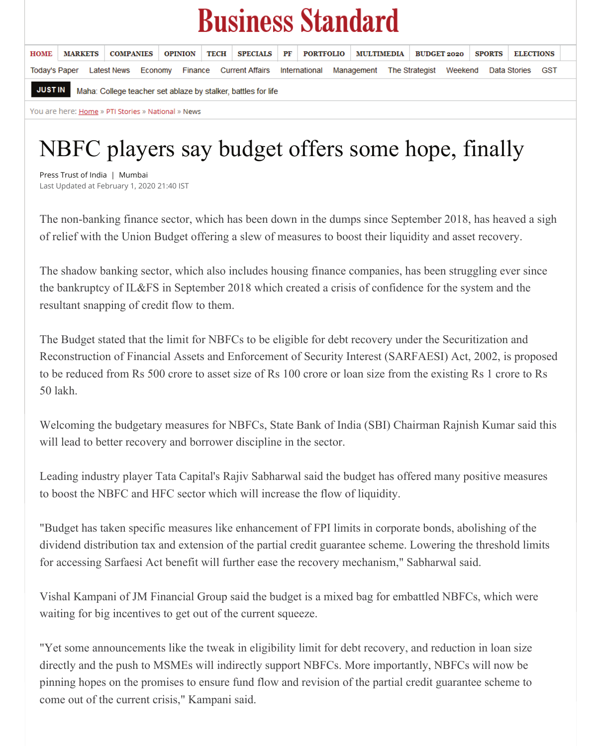## **Business Standard**

| <b>HOME</b>                                                                     | <b>MARKETS</b> | <b>COMPANIES</b>                                                                                                           | <b>OPINION</b> | <b>TECH</b> |  | SPECIALS PF PORTFOLIO MULTIMEDIA BUDGET 2020 |  |  |  |  |  |  | <b>SPORTS</b> |  | <b>ELECTIONS</b> |  |  |
|---------------------------------------------------------------------------------|----------------|----------------------------------------------------------------------------------------------------------------------------|----------------|-------------|--|----------------------------------------------|--|--|--|--|--|--|---------------|--|------------------|--|--|
|                                                                                 |                | Today's Paper Latest News Economy Finance Current Affairs International Management The Strategist Weekend Data Stories GST |                |             |  |                                              |  |  |  |  |  |  |               |  |                  |  |  |
| <b>JUST IN</b><br>Maha: College teacher set ablaze by stalker, battles for life |                |                                                                                                                            |                |             |  |                                              |  |  |  |  |  |  |               |  |                  |  |  |

You are here: Home » PTI Stories » National » News

## NBFC players say budget offers some hope, finally

Press Trust of India | Mumbai Last Updated at February 1, 2020 21:40 IST

The non-banking finance sector, which has been down in the dumps since September 2018, has heaved a sigh of relief with the Union Budget offering a slew of measures to boost their liquidity and asset recovery.

The shadow banking sector, which also includes housing finance companies, has been struggling ever since the bankruptcy of IL&FS in September 2018 which created a crisis of confidence for the system and the resultant snapping of credit flow to them.

The Budget stated that the limit for NBFCs to be eligible for debt recovery under the Securitization and Reconstruction of Financial Assets and Enforcement of Security Interest (SARFAESI) Act, 2002, is proposed to be reduced from Rs 500 crore to asset size of Rs 100 crore or loan size from the existing Rs 1 crore to Rs 50 lakh.

Welcoming the budgetary measures for NBFCs, State Bank of India (SBI) Chairman Rajnish Kumar said this will lead to better recovery and borrower discipline in the sector.

Leading industry player Tata Capital's Rajiv Sabharwal said the budget has offered many positive measures

to boost the NBFC and HFC sector which will increase the flow of liquidity.

"Budget has taken specific measures like enhancement of FPI limits in corporate bonds, abolishing of the dividend distribution tax and extension of the partial credit guarantee scheme. Lowering the threshold limits for accessing Sarfaesi Act benefit will further ease the recovery mechanism," Sabharwal said.

Vishal Kampani of JM Financial Group said the budget is a mixed bag for embattled NBFCs, which were waiting for big incentives to get out of the current squeeze.

"Yet some announcements like the tweak in eligibility limit for debt recovery, and reduction in loan size directly and the push to MSMEs will indirectly support NBFCs. More importantly, NBFCs will now be pinning hopes on the promises to ensure fund flow and revision of the partial credit guarantee scheme to come out of the current crisis," Kampani said.